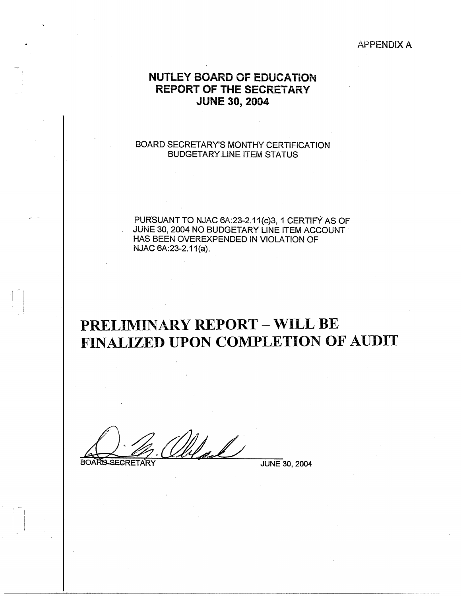APPENDIX A

# **NUTLEY BOARD OF EDUCATION REPORT OF THE SECRETARY JUNE 30, 2004**

#### BOARD SECRETARY'S MONTHY CERTIFICATION **BUDGETARY LINE ITEM STATUS**

PURSUANT TO NJAC 6A:23-2.11 (c)3, 1 CERTIFY AS OF JUNE 30, 2004 NO BUDGETARY LINE ITEM ACCOUNT· HAS BEEN OVEREXPENDED IN VIOLATION OF NJAC 6A:23-2.11(a).

# **PRELIMINARY REPORT** - **WILL BE FINALIZED UPON COMPLETION OF AUDIT**

 $\mathbb{Z}/2$ **BOARD SECRETARY** 

·1

JUNE 30, 2004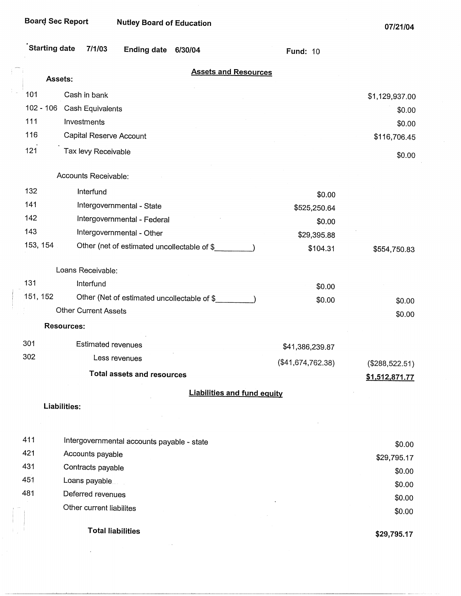÷

| Starting date                      |                           | 7/1/03                   | <b>Ending date</b>                          | 6/30/04 |                                    | <b>Fund: 10</b>   |                  |
|------------------------------------|---------------------------|--------------------------|---------------------------------------------|---------|------------------------------------|-------------------|------------------|
|                                    | Assets:                   |                          |                                             |         | <b>Assets and Resources</b>        |                   |                  |
| 101                                |                           | Cash in bank             |                                             |         |                                    |                   | \$1,129,937.00   |
| $102 - 106$                        |                           | Cash Equivalents         |                                             |         |                                    |                   | \$0.00           |
| 111                                |                           | Investments              |                                             |         |                                    |                   | \$0.00           |
| 116                                |                           | Capital Reserve Account  |                                             |         |                                    |                   | \$116,706.45     |
| 121                                |                           | Tax levy Receivable      |                                             |         |                                    |                   | \$0.00           |
|                                    |                           | Accounts Receivable:     |                                             |         |                                    |                   |                  |
| 132                                |                           | Interfund                |                                             |         |                                    | \$0.00            |                  |
| 141                                |                           |                          | Intergovernmental - State                   |         |                                    | \$525,250.64      |                  |
| 142<br>Intergovernmental - Federal |                           |                          |                                             |         |                                    | \$0.00            |                  |
| 143                                | Intergovernmental - Other |                          |                                             |         |                                    | \$29,395.88       |                  |
| 153, 154                           |                           |                          | Other (net of estimated uncollectable of \$ |         |                                    | \$104.31          | \$554,750.83     |
|                                    |                           | Loans Receivable:        |                                             |         |                                    |                   |                  |
| 131                                |                           | Interfund                |                                             |         |                                    | \$0.00            |                  |
| 151, 152                           |                           |                          | Other (Net of estimated uncollectable of \$ |         |                                    | \$0.00            | \$0.00           |
|                                    |                           | Other Current Assets     |                                             |         |                                    |                   | \$0.00           |
|                                    | <b>Resources:</b>         |                          |                                             |         |                                    |                   |                  |
| 301                                |                           | Estimated revenues       |                                             |         |                                    | \$41,386,239.87   |                  |
| 302                                |                           |                          | Less revenues                               |         |                                    | (\$41,674,762.38) | $(\$288,522.51)$ |
|                                    |                           |                          | <b>Total assets and resources</b>           |         |                                    |                   | \$1,512,871.77   |
|                                    |                           |                          |                                             |         | <b>Liabilities and fund equity</b> |                   |                  |
|                                    | Liabilities:              |                          |                                             |         |                                    |                   |                  |
| 411                                |                           |                          | Intergovernmental accounts payable - state  |         |                                    |                   | \$0.00           |
| 421                                |                           | Accounts payable         |                                             |         |                                    |                   | \$29,795.17      |
| 431                                |                           | Contracts payable        |                                             |         |                                    |                   | \$0.00           |
| 451                                |                           | Loans payable            |                                             |         |                                    |                   | \$0.00           |
| 481                                |                           | Deferred revenues        |                                             |         |                                    |                   | \$0.00           |
|                                    |                           | Other current liabilites |                                             |         |                                    |                   | \$0.00           |
|                                    |                           | <b>Total liabilities</b> |                                             |         |                                    |                   | \$29,795.17      |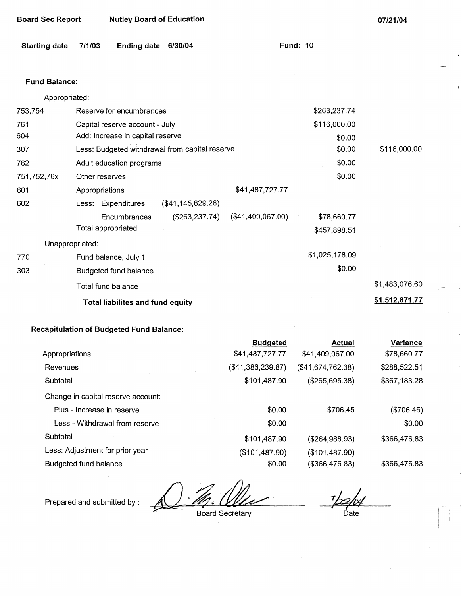| 6/30/04<br><b>Ending date</b><br>Reserve for encumbrances | <b>Fund: 10</b><br>\$263,237.74                               |                |
|-----------------------------------------------------------|---------------------------------------------------------------|----------------|
|                                                           |                                                               |                |
|                                                           |                                                               |                |
|                                                           |                                                               |                |
|                                                           |                                                               |                |
| Capital reserve account - July                            | \$116,000.00                                                  |                |
| Add: Increase in capital reserve                          | \$0.00                                                        |                |
| Less: Budgeted withdrawal from capital reserve            | \$0.00                                                        | \$116,000.00   |
| Adult education programs                                  | \$0.00                                                        |                |
| Other reserves                                            | \$0.00                                                        |                |
| Appropriations                                            | \$41,487,727.77                                               |                |
| Less: Expenditures<br>(\$41,145,829.26)                   |                                                               |                |
| (\$263, 237.74)<br>Encumbrances                           | (\$41,409,067.00)<br>\$78,660.77                              |                |
| Total appropriated                                        | \$457,898.51                                                  |                |
|                                                           |                                                               |                |
| Fund balance, July 1                                      | \$1,025,178.09                                                |                |
| Budgeted fund balance                                     | \$0.00                                                        |                |
|                                                           |                                                               | \$1,483,076.60 |
|                                                           |                                                               | \$1,512,871.77 |
|                                                           | Total fund balance<br><b>Total liabilites and fund equity</b> |                |

|                                    | <b>Budgeted</b>   | Actual            | Variance     |
|------------------------------------|-------------------|-------------------|--------------|
| Appropriations                     | \$41,487,727.77   | \$41,409,067.00   | \$78,660.77  |
| Revenues                           | (\$41,386,239.87) | (\$41,674,762.38) | \$288,522.51 |
| Subtotal                           | \$101,487.90      | (\$265,695.38)    | \$367,183.28 |
| Change in capital reserve account: |                   |                   |              |
| Plus - Increase in reserve         | \$0.00            | \$706.45          | (\$706.45)   |
| Less - Withdrawal from reserve     | \$0.00            |                   | \$0.00       |
| Subtotal                           | \$101,487.90      | (\$264,988.93)    | \$366,476.83 |
| Less: Adjustment for prior year    | (\$101,487.90)    | (\$101,487.90)    |              |
| Budgeted fund balance              | \$0.00            | $($ \$366,476.83) | \$366,476.83 |

Prepared and submitted by :

Board Secretary

 $\mathcal{I}_{\mathcal{L}}^{\prime}$ Date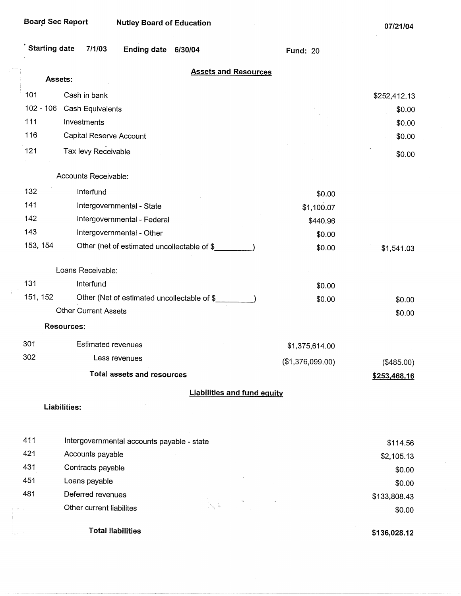| <b>Starting date</b> | 7/1/03<br><b>Ending date</b><br>6/30/04                              | <b>Fund: 20</b>  |              |
|----------------------|----------------------------------------------------------------------|------------------|--------------|
|                      | <b>Assets and Resources</b>                                          |                  |              |
|                      | Assets:                                                              |                  |              |
| 101                  | Cash in bank                                                         |                  | \$252,412.13 |
| $102 - 106$          | Cash Equivalents                                                     |                  | \$0.00       |
| 111                  | Investments                                                          |                  | \$0.00       |
| 116                  | Capital Reserve Account                                              |                  | \$0.00       |
| 121                  | Tax levy Receivable                                                  |                  | \$0.00       |
|                      | Accounts Receivable:                                                 |                  |              |
| 132                  | Interfund                                                            | \$0.00           |              |
| 141                  | Intergovernmental - State                                            | \$1,100.07       |              |
| 142                  | Intergovernmental - Federal                                          | \$440.96         |              |
| 143                  | Intergovernmental - Other                                            | \$0.00           |              |
| 153, 154             | Other (net of estimated uncollectable of \$                          | \$0.00           | \$1,541.03   |
|                      | Loans Receivable:                                                    |                  |              |
| 131                  | Interfund                                                            | \$0.00           |              |
| 151, 152             | Other (Net of estimated uncollectable of \$_                         | \$0.00           | \$0.00       |
|                      | Other Current Assets                                                 |                  | \$0.00       |
|                      | <b>Resources:</b>                                                    |                  |              |
| 301                  | <b>Estimated revenues</b>                                            | \$1,375,614.00   |              |
| 302                  | Less revenues                                                        | (\$1,376,099.00) | (\$485.00)   |
|                      | <b>Total assets and resources</b>                                    |                  | \$253,468.16 |
|                      | <b>Liabilities and fund equity</b>                                   |                  |              |
|                      | Liabilities:                                                         |                  |              |
| 411                  | Intergovernmental accounts payable - state                           |                  | \$114.56     |
| 421                  | Accounts payable                                                     |                  | \$2,105.13   |
| 431                  | Contracts payable                                                    |                  | \$0.00       |
| 451                  | Loans payable                                                        |                  | \$0.00       |
| 481                  | Deferred revenues                                                    |                  | \$133,808.43 |
|                      | $\mathcal{N}_{\mathcal{N}}(\mathcal{Q})$<br>Other current liabilites |                  | \$0.00       |
|                      | <b>Total liabilities</b>                                             |                  | \$136,028.12 |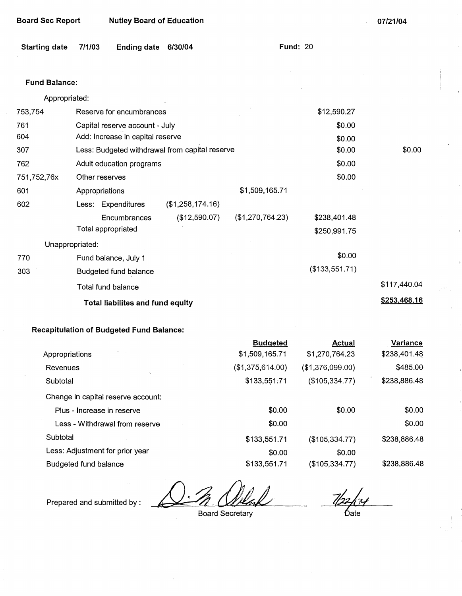| Board Sec Report |  | <b>Nutley Board of Education</b> |
|------------------|--|----------------------------------|
|                  |  |                                  |

**07/21/04** 

| Starting date 7/1/03 |  | Ending date 6/30/04 |  | <b>Fund: 20</b> |
|----------------------|--|---------------------|--|-----------------|
|----------------------|--|---------------------|--|-----------------|

#### **Fund Balance:**

Appropriated:

| 753,754         | Reserve for encumbrances                       |                  |                  | \$12,590.27    |              |
|-----------------|------------------------------------------------|------------------|------------------|----------------|--------------|
| 761             | Capital reserve account - July                 |                  |                  | \$0.00         |              |
| 604             | Add: Increase in capital reserve               |                  |                  | \$0.00         |              |
| 307             | Less: Budgeted withdrawal from capital reserve |                  | \$0.00           | \$0.00         |              |
| 762             | Adult education programs                       |                  |                  | \$0.00         |              |
| 751,752,76x     | Other reserves                                 |                  |                  | \$0.00         |              |
| 601             | Appropriations                                 |                  | \$1,509,165.71   |                |              |
| 602             | Less: Expenditures                             | (\$1,258,174.16) |                  |                |              |
|                 | Encumbrances                                   | (\$12,590.07)    | (\$1,270,764.23) | \$238,401.48   |              |
|                 | Total appropriated                             |                  |                  | \$250,991.75   |              |
| Unappropriated: |                                                |                  |                  |                |              |
| 770             | Fund balance, July 1                           |                  |                  | \$0.00         |              |
| 303             | Budgeted fund balance                          |                  |                  | (\$133,551.71) |              |
|                 | Total fund balance                             |                  |                  |                | \$117,440.04 |
|                 | <b>Total liabilites and fund equity</b>        |                  |                  |                | \$253,468.16 |

# **Recapitulation of Budgeted Fund Balance:**

|                                           | <b>Budgeted</b>  | <b>Actual</b>    | Variance     |
|-------------------------------------------|------------------|------------------|--------------|
| $\sigma_{\rm{max}}=0.1$<br>Appropriations | \$1,509,165.71   | \$1,270,764.23   | \$238,401.48 |
| Revenues<br>٠.                            | (\$1,375,614.00) | (\$1,376,099.00) | \$485.00     |
| Subtotal                                  | \$133,551.71     | (\$105,334.77)   | \$238,886.48 |
| Change in capital reserve account:        |                  |                  |              |
| Plus - Increase in reserve                | \$0.00           | \$0.00           | \$0.00       |
| Less - Withdrawal from reserve            | \$0.00           |                  | \$0.00       |
| Subtotal                                  | \$133,551.71     | (\$105,334.77)   | \$238,886.48 |
| Less: Adjustment for prior year           | \$0.00           | \$0.00           |              |
| <b>Budgeted fund balance</b>              | \$133,551.71     | (\$105,334.77)   | \$238,886.48 |

Prepared and submitted by :

Board Secretary

 $7/22/04$ 

 $\mathsf{6}$ ate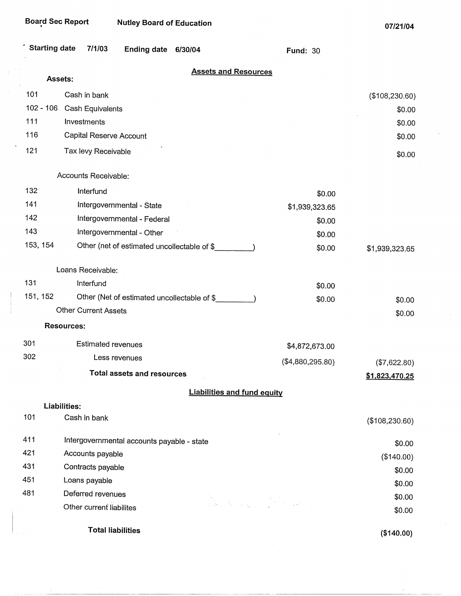|             | <b>Starting date</b><br>7/1/03<br><b>Ending date</b> | 6/30/04                            | <b>Fund: 30</b>  |                       |
|-------------|------------------------------------------------------|------------------------------------|------------------|-----------------------|
|             | Assets:                                              | <b>Assets and Resources</b>        |                  |                       |
| 101         | Cash in bank                                         |                                    |                  | (\$108,230.60)        |
| $102 - 106$ | Cash Equivalents                                     |                                    |                  | \$0.00                |
| 111         | Investments                                          |                                    |                  | \$0.00                |
| 116         | Capital Reserve Account                              |                                    |                  | \$0.00                |
| 121         | Tax levy Receivable                                  |                                    |                  | \$0.00                |
|             | Accounts Receivable:                                 |                                    |                  |                       |
| 132         | Interfund                                            |                                    | \$0.00           |                       |
| 141         | Intergovernmental - State                            |                                    | \$1,939,323.65   |                       |
| 142         | Intergovernmental - Federal                          |                                    | \$0.00           |                       |
| 143         | Intergovernmental - Other                            |                                    | \$0.00           |                       |
| 153, 154    | Other (net of estimated uncollectable of \$          |                                    | \$0.00           | \$1,939,323.65        |
|             | Loans Receivable:                                    |                                    |                  |                       |
| 131         | Interfund                                            |                                    | \$0.00           |                       |
| 151, 152    | Other (Net of estimated uncollectable of \$          |                                    | \$0.00           | \$0.00                |
|             | <b>Other Current Assets</b>                          |                                    |                  | \$0.00                |
|             | <b>Resources:</b>                                    |                                    |                  |                       |
| 301         | <b>Estimated revenues</b>                            |                                    | \$4,872,673.00   |                       |
| 302         | Less revenues                                        |                                    | (\$4,880,295.80) | (\$7,622.80)          |
|             | <b>Total assets and resources</b>                    |                                    |                  | <u>\$1,823,470.25</u> |
|             |                                                      | <b>Liabilities and fund equity</b> |                  |                       |
|             | Liabilities:                                         |                                    |                  |                       |
| 101         | Cash in bank                                         |                                    |                  | (\$108,230.60)        |
| 411         | Intergovernmental accounts payable - state           |                                    |                  | \$0.00                |
| 421         | Accounts payable                                     |                                    |                  | (\$140.00)            |
| 431         | Contracts payable                                    |                                    |                  | \$0.00                |
| 451         | Loans payable                                        |                                    |                  | \$0.00                |
| 481         | Deferred revenues                                    |                                    |                  | \$0.00                |
|             | Other current liabilites                             |                                    |                  | \$0.00                |
|             | <b>Total liabilities</b>                             |                                    |                  | (\$140.00)            |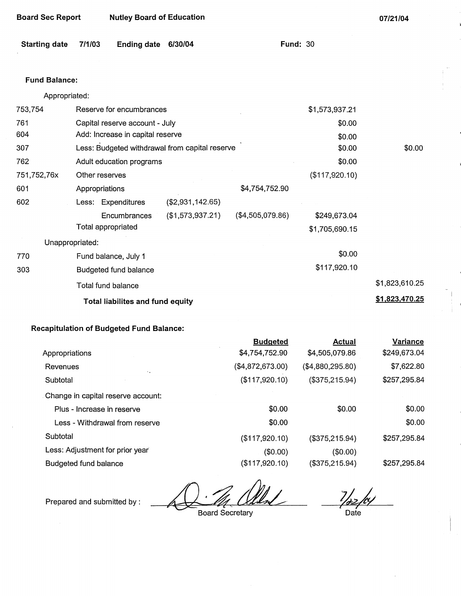| <b>Board Sec Report</b> | <b>Nutley Board of Education</b>               |                                  |                  |                  |                 |                |
|-------------------------|------------------------------------------------|----------------------------------|------------------|------------------|-----------------|----------------|
| <b>Starting date</b>    | 7/1/03                                         | <b>Ending date</b>               | 6/30/04          |                  | <b>Fund: 30</b> |                |
| <b>Fund Balance:</b>    |                                                |                                  |                  |                  |                 |                |
| Appropriated:           |                                                |                                  |                  |                  |                 |                |
| 753,754                 |                                                | Reserve for encumbrances         |                  |                  | \$1,573,937.21  |                |
| 761                     |                                                | Capital reserve account - July   |                  |                  | \$0.00          |                |
| 604                     | Add: Increase in capital reserve               |                                  |                  |                  | \$0.00          |                |
| 307                     | Less: Budgeted withdrawal from capital reserve |                                  |                  |                  | \$0.00          | \$0.00         |
| 762                     |                                                | Adult education programs         |                  |                  | \$0.00          |                |
| 751,752,76x             |                                                | Other reserves                   |                  |                  | (\$117,920.10)  |                |
| 601                     |                                                | Appropriations                   |                  | \$4,754,752.90   |                 |                |
| 602                     |                                                | Less: Expenditures               | (\$2,931,142.65) |                  |                 |                |
|                         |                                                | Encumbrances                     | (\$1,573,937.21) | (\$4,505,079.86) | \$249,673.04    |                |
|                         |                                                | Total appropriated               |                  |                  | \$1,705,690.15  |                |
| Unappropriated:         |                                                |                                  |                  |                  |                 |                |
| 770                     |                                                | Fund balance, July 1             |                  |                  | \$0.00          |                |
| 303                     |                                                | Budgeted fund balance            |                  |                  | \$117,920.10    |                |
|                         |                                                | Total fund balance               |                  |                  |                 | \$1,823,610.25 |
|                         |                                                | Total liabilites and fund equity |                  |                  |                 | \$1,823,470.25 |

|                                    | <b>Budgeted</b>  | <b>Actual</b>    | <b>Variance</b> |
|------------------------------------|------------------|------------------|-----------------|
| Appropriations                     | \$4,754,752.90   | \$4,505,079.86   | \$249,673.04    |
| Revenues<br>$\sim$ $\sim$          | (\$4,872,673.00) | (\$4,880,295.80) | \$7,622.80      |
| Subtotal                           | (\$117,920.10)   | (\$375,215.94)   | \$257,295.84    |
| Change in capital reserve account: |                  |                  |                 |
| Plus - Increase in reserve         | \$0.00           | \$0.00           | \$0.00          |
| Less - Withdrawal from reserve     | \$0.00           |                  | \$0.00          |
| Subtotal                           | (\$117,920.10)   | (\$375,215.94)   | \$257,295.84    |
| Less: Adjustment for prior year    | (\$0.00)         | (\$0.00)         |                 |
| Budgeted fund balance              | (\$117,920.10)   | (\$375,215.94)   | \$257,295.84    |

Prepared and submitted by:

Board Secretary

7/32/01

Date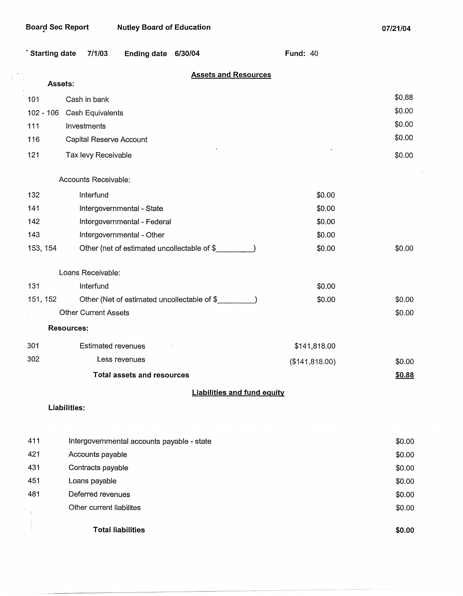$\ddot{\phantom{a}}$ 

 $\bar{z}$ 

| <b>Starting date</b> | 7/1/03<br><b>Ending date</b><br>6/30/04     | <b>Fund: 40</b> |        |
|----------------------|---------------------------------------------|-----------------|--------|
| Assets:              | <b>Assets and Resources</b>                 |                 |        |
| 101                  | Cash in bank                                |                 | \$0.88 |
| $102 - 106$          | Cash Equivalents                            |                 | \$0.00 |
| 111                  | Investments                                 |                 | \$0.00 |
| 116                  | Capital Reserve Account                     |                 | \$0.00 |
| 121                  | Tax levy Receivable                         |                 | \$0.00 |
|                      | Accounts Receivable:                        |                 |        |
| 132                  | Interfund                                   | \$0.00          |        |
| 141                  | Intergovernmental - State                   | \$0.00          |        |
| 142                  | Intergovernmental - Federal                 | \$0.00          |        |
| 143                  | Intergovernmental - Other                   | \$0.00          |        |
| 153, 154             | Other (net of estimated uncollectable of \$ | \$0.00          | \$0.00 |
|                      | Loans Receivable:                           |                 |        |
| 131                  | Interfund                                   | \$0.00          |        |
| 151, 152             | Other (Net of estimated uncollectable of \$ | \$0.00          | \$0.00 |
|                      | <b>Other Current Assets</b>                 |                 | \$0.00 |
|                      | Resources:                                  |                 |        |
| 301                  | <b>Estimated revenues</b>                   | \$141,818.00    |        |
| 302                  | Less revenues                               | (\$141, 818.00) | \$0.00 |
|                      | <b>Total assets and resources</b>           |                 | \$0.88 |
|                      | <b>Liabilities and fund equity</b>          |                 |        |
|                      | Liabilities:                                |                 |        |
| 411                  | Intergovernmental accounts payable - state  |                 | \$0.00 |
| 421                  | Accounts payable                            |                 | \$0.00 |
| 431                  | Contracts payable                           |                 | \$0.00 |
| 451                  | Loans payable                               |                 | \$0.00 |
| 481                  | Deferred revenues                           |                 | \$0.00 |
|                      | Other current liabilites                    |                 | \$0.00 |
|                      | <b>Total liabilities</b>                    |                 | \$0.00 |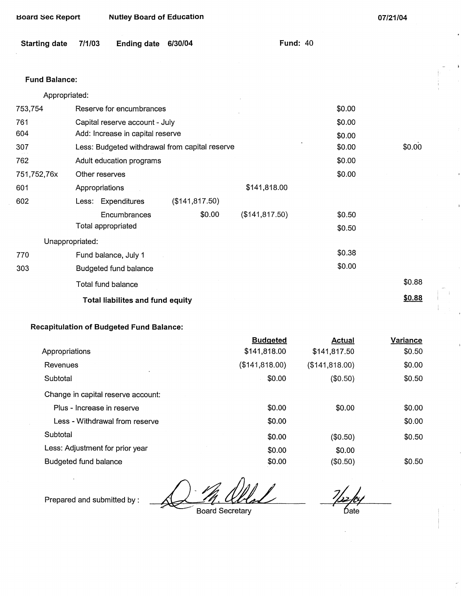| <b>Board Sec Report</b> |                    | <b>Nutley Board of Education</b> |                                                |                 |        | 07/21/04 |
|-------------------------|--------------------|----------------------------------|------------------------------------------------|-----------------|--------|----------|
| <b>Starting date</b>    | 7/1/03             | <b>Ending date</b>               | 6/30/04                                        | <b>Fund: 40</b> |        |          |
| <b>Fund Balance:</b>    |                    |                                  |                                                |                 |        |          |
| Appropriated:           |                    |                                  |                                                |                 |        |          |
| 753,754                 |                    | Reserve for encumbrances         |                                                |                 | \$0.00 |          |
| 761                     |                    | Capital reserve account - July   |                                                |                 | \$0.00 |          |
| 604                     |                    | Add: Increase in capital reserve |                                                |                 | \$0.00 |          |
| 307                     |                    |                                  | Less: Budgeted withdrawal from capital reserve |                 | \$0.00 | \$0.00   |
| 762                     |                    | Adult education programs         |                                                |                 | \$0.00 |          |
| 751,752,76x             | Other reserves     |                                  |                                                |                 | \$0.00 |          |
| 601                     | Appropriations     |                                  |                                                | \$141,818.00    |        |          |
| 602                     |                    | Less: Expenditures               | (\$141, 817.50)                                |                 |        |          |
|                         |                    | Encumbrances                     | \$0.00                                         | (\$141, 817.50) | \$0.50 |          |
|                         | Total appropriated |                                  |                                                |                 | \$0.50 |          |
| Unappropriated:         |                    |                                  |                                                |                 |        |          |
| 770                     |                    | Fund balance, July 1             |                                                |                 | \$0.38 |          |
| 303                     |                    | Budgeted fund balance            |                                                |                 | \$0.00 |          |
|                         | Total fund balance |                                  |                                                |                 |        | \$0.88   |
|                         |                    | Total liabilites and fund equity |                                                |                 |        | \$0.88   |

|                                    | <b>Budgeted</b> | <b>Actual</b>  | Variance |
|------------------------------------|-----------------|----------------|----------|
| Appropriations                     | \$141,818.00    | \$141,817.50   | \$0.50   |
| Revenues<br>$\bullet$              | (\$141, 818.00) | (\$141,818.00) | \$0.00   |
| Subtotal                           | \$0.00          | (\$0.50)       | \$0.50   |
| Change in capital reserve account: |                 |                |          |
| Plus - Increase in reserve         | \$0.00          | \$0.00         | \$0.00   |
| Less - Withdrawal from reserve     | \$0.00          |                | \$0.00   |
| Subtotal                           | \$0.00          | (\$0.50)       | \$0.50   |
| Less: Adjustment for prior year    | \$0.00          | \$0.00         |          |
| Budgeted fund balance              | \$0.00          | $($ \$0.50)    | \$0.50   |

Prepared and submitted by:  $\frac{m}{\sqrt{m}}$  and Secretary

 $\delta$ ate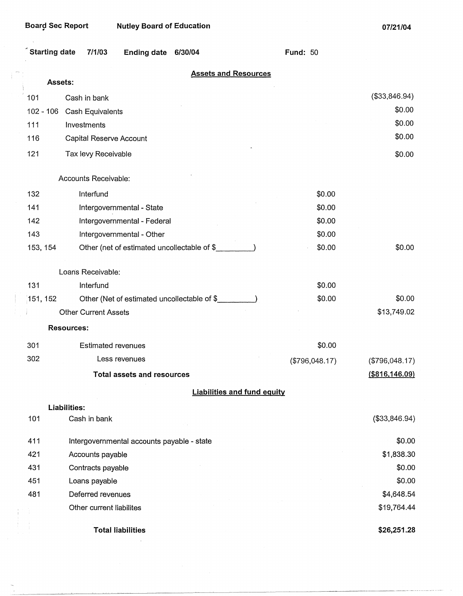H.

| <b>Starting date</b> | 7/1/03<br><b>Ending date</b><br>6/30/04                                  | <b>Fund: 50</b>  |                   |
|----------------------|--------------------------------------------------------------------------|------------------|-------------------|
|                      | <b>Assets and Resources</b><br>Assets:                                   |                  |                   |
|                      |                                                                          |                  | (\$33,846.94)     |
| 101<br>$102 - 106$   | Cash in bank                                                             |                  | \$0.00            |
| 111                  | Cash Equivalents<br>Investments                                          |                  | \$0.00            |
| 116                  |                                                                          |                  | \$0.00            |
| 121                  | Capital Reserve Account<br>Tax levy Receivable                           |                  | \$0.00            |
|                      | Accounts Receivable:                                                     |                  |                   |
| 132                  | Interfund                                                                | \$0.00           |                   |
| 141                  |                                                                          |                  |                   |
| 142                  | Intergovernmental - State                                                | \$0.00<br>\$0.00 |                   |
| 143                  | Intergovernmental - Federal                                              | \$0.00           |                   |
| 153, 154             | Intergovernmental - Other<br>Other (net of estimated uncollectable of \$ | \$0.00           | \$0.00            |
|                      |                                                                          |                  |                   |
|                      | Loans Receivable:                                                        |                  |                   |
| 131                  | Interfund                                                                | \$0.00           |                   |
| 151, 152             | Other (Net of estimated uncollectable of \$                              | \$0.00           | \$0.00            |
|                      | <b>Other Current Assets</b>                                              |                  | \$13,749.02       |
|                      | <b>Resources:</b>                                                        |                  |                   |
| 301                  | <b>Estimated revenues</b>                                                | \$0.00           |                   |
| 302                  | Less revenues                                                            | (\$796,048.17)   | (\$796,048.17)    |
|                      | <b>Total assets and resources</b>                                        |                  | $($ \$816,146.09) |
|                      | <b>Liabilities and fund equity</b>                                       |                  |                   |
|                      | <b>Liabilities:</b>                                                      |                  |                   |
| 101                  | Cash in bank                                                             |                  | (\$33,846.94)     |
| 411                  | Intergovernmental accounts payable - state                               |                  | \$0.00            |
| 421                  | Accounts payable                                                         |                  | \$1,838.30        |
| 431                  | Contracts payable                                                        |                  | \$0.00            |
| 451                  | Loans payable                                                            |                  | \$0.00            |
| 481                  | Deferred revenues                                                        |                  | \$4,648.54        |
|                      | Other current liabilites                                                 |                  | \$19,764.44       |
|                      | <b>Total liabilities</b>                                                 |                  | \$26,251.28       |

 $\bar{z}$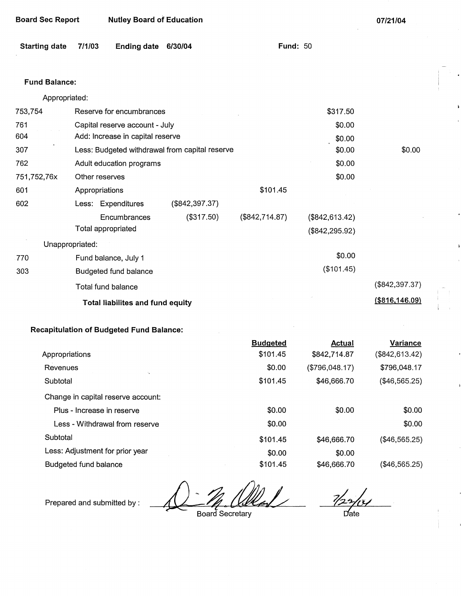| <b>Board Sec Report</b> |        | <b>Nutley Board of Education</b>               |                |                 |                   | 07/21/04          |
|-------------------------|--------|------------------------------------------------|----------------|-----------------|-------------------|-------------------|
| <b>Starting date</b>    | 7/1/03 | <b>Ending date</b>                             | 6/30/04        | <b>Fund: 50</b> |                   |                   |
| <b>Fund Balance:</b>    |        |                                                |                |                 |                   |                   |
| Appropriated:           |        |                                                |                |                 |                   |                   |
| 753,754                 |        | Reserve for encumbrances                       |                |                 | \$317.50          |                   |
| 761                     |        | Capital reserve account - July                 |                |                 | \$0.00            |                   |
| 604                     |        | Add: Increase in capital reserve               |                |                 | \$0.00            |                   |
| 307                     |        | Less: Budgeted withdrawal from capital reserve |                |                 | \$0.00            | \$0.00            |
| 762                     |        | Adult education programs                       |                |                 | \$0.00            |                   |
| 751,752,76x             |        | Other reserves                                 |                |                 | \$0.00            |                   |
| 601                     |        | Appropriations                                 |                | \$101.45        |                   |                   |
| 602                     |        | Less: Expenditures                             | (\$842,397.37) |                 |                   |                   |
|                         |        | Encumbrances                                   | (\$317.50)     | (\$842,714.87)  | (\$842, 613.42)   |                   |
|                         |        | <b>Total appropriated</b>                      |                |                 | $(\$842, 295.92)$ |                   |
| Unappropriated:         |        |                                                |                |                 |                   |                   |
| 770                     |        | Fund balance, July 1                           |                |                 | \$0.00            |                   |
| 303                     |        | Budgeted fund balance                          |                |                 | (\$101.45)        |                   |
|                         |        | Total fund balance                             |                |                 |                   | $(\$842, 397.37)$ |
|                         |        | Total liabilites and fund equity               |                |                 |                   | $($ \$816,146.09) |

|                                    | <b>Budgeted</b> | <b>Actual</b>  | Variance         |
|------------------------------------|-----------------|----------------|------------------|
| Appropriations                     | \$101.45        | \$842,714.87   | (\$842,613.42)   |
| Revenues                           | \$0.00          | (\$796,048.17) | \$796,048.17     |
| Subtotal                           | \$101.45        | \$46,666.70    | $(\$46,565.25)$  |
| Change in capital reserve account: |                 |                |                  |
| Plus - Increase in reserve         | \$0.00          | \$0.00         | \$0.00           |
| Less - Withdrawal from reserve     | \$0.00          |                | \$0.00           |
| Subtotal                           | \$101.45        | \$46,666.70    | $(\$46,565.25)$  |
| Less: Adjustment for prior year    | \$0.00          | \$0.00         |                  |
| Budgeted fund balance              | \$101.45        | \$46,666.70    | $($ \$46,565.25) |

Prepared and submitted by :

Board Secretary

 $\frac{1}{2\pi\epsilon}$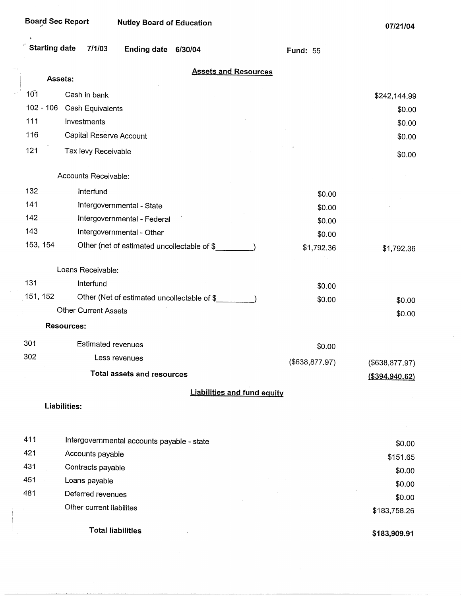# **Board Sec Report** .. **Nutley Board of Education**

 $\parallel$ 

**07/21/04** 

 $\overline{\phantom{a}}$ 

| <b>Starting date</b> | 7/1/03<br>Ending date 6/30/04               | <b>Fund: 55</b> |                  |
|----------------------|---------------------------------------------|-----------------|------------------|
|                      | <b>Assets and Resources</b>                 |                 |                  |
|                      | Assets:                                     |                 |                  |
| 10 <sup>7</sup>      | Cash in bank                                |                 | \$242,144.99     |
| $102 - 106$          | Cash Equivalents                            |                 | \$0.00           |
| 111                  | Investments                                 |                 | \$0.00           |
| 116                  | Capital Reserve Account                     |                 | \$0.00           |
| 121                  | Tax levy Receivable                         |                 | \$0.00           |
|                      | Accounts Receivable:                        |                 |                  |
| 132                  | Interfund                                   | \$0.00          |                  |
| 141                  | Intergovernmental - State                   | \$0.00          |                  |
| 142                  | Intergovernmental - Federal                 | \$0.00          |                  |
| 143                  | Intergovernmental - Other                   | \$0.00          |                  |
| 153, 154             | Other (net of estimated uncollectable of \$ | \$1,792.36      | \$1,792.36       |
|                      | Loans Receivable:                           |                 |                  |
| 131                  | Interfund                                   | \$0.00          |                  |
| 151, 152             | Other (Net of estimated uncollectable of \$ | \$0.00          | \$0.00           |
|                      | Other Current Assets                        |                 | \$0.00           |
|                      | <b>Resources:</b>                           |                 |                  |
| 301                  | <b>Estimated revenues</b>                   | \$0.00          |                  |
| 302                  | Less revenues                               | (\$638, 877.97) | (\$638,877.97)   |
|                      | <b>Total assets and resources</b>           |                 | ( \$394, 940.62) |
|                      | <b>Liabilities and fund equity</b>          |                 |                  |
|                      | Liabilities:                                |                 |                  |
| 411                  | Intergovernmental accounts payable - state  |                 | \$0.00           |
| 421                  | Accounts payable                            |                 | \$151.65         |
| 431                  | Contracts payable                           |                 | \$0.00           |
| 451                  | Loans payable                               |                 | \$0.00           |
| 481                  | Deferred revenues                           |                 | \$0.00           |
|                      | Other current liabilites                    |                 | \$183,758.26     |
|                      | <b>Total liabilities</b>                    |                 | \$183,909.91     |